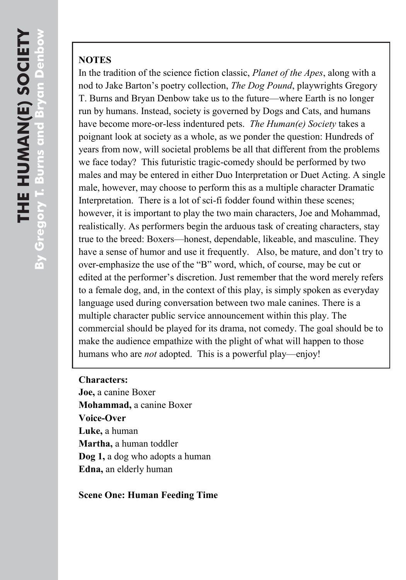## **NOTES**

In the tradition of the science fiction classic, *Planet of the Apes*, along with a nod to Jake Barton"s poetry collection, *The Dog Pound*, playwrights Gregory T. Burns and Bryan Denbow take us to the future—where Earth is no longer run by humans. Instead, society is governed by Dogs and Cats, and humans have become more-or-less indentured pets. *The Human(e) Society* takes a poignant look at society as a whole, as we ponder the question: Hundreds of years from now, will societal problems be all that different from the problems we face today? This futuristic tragic-comedy should be performed by two males and may be entered in either Duo Interpretation or Duet Acting. A single male, however, may choose to perform this as a multiple character Dramatic Interpretation. There is a lot of sci-fi fodder found within these scenes; however, it is important to play the two main characters, Joe and Mohammad, realistically. As performers begin the arduous task of creating characters, stay true to the breed: Boxers—honest, dependable, likeable, and masculine. They have a sense of humor and use it frequently. Also, be mature, and don't try to over-emphasize the use of the "B" word, which, of course, may be cut or edited at the performer's discretion. Just remember that the word merely refers to a female dog, and, in the context of this play, is simply spoken as everyday language used during conversation between two male canines. There is a multiple character public service announcement within this play. The commercial should be played for its drama, not comedy. The goal should be to make the audience empathize with the plight of what will happen to those humans who are *not* adopted. This is a powerful play—enjoy!

## **Characters:**

**Joe,** a canine Boxer **Mohammad,** a canine Boxer **Voice-Over Luke,** a human **Martha,** a human toddler **Dog 1,** a dog who adopts a human **Edna,** an elderly human

## **Scene One: Human Feeding Time**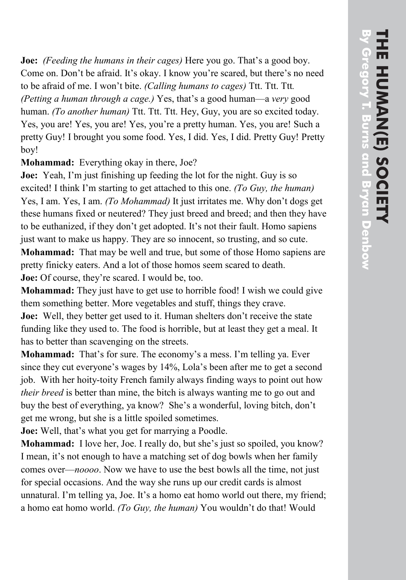**Joe:** *(Feeding the humans in their cages)* Here you go. That's a good boy. Come on. Don't be afraid. It's okay. I know you're scared, but there's no need to be afraid of me. I won"t bite. *(Calling humans to cages)* Ttt. Ttt. Ttt*. (Petting a human through a cage.)* Yes, that"s a good human—a *very* good human. *(To another human)* Ttt. Ttt. Ttt. Hey, Guy, you are so excited today. Yes, you are! Yes, you are! Yes, you"re a pretty human. Yes, you are! Such a pretty Guy! I brought you some food. Yes, I did. Yes, I did. Pretty Guy! Pretty boy!

**Mohamm ad:** Everything okay in there, Joe?

**Joe:** Yeah, I'm just finishing up feeding the lot for the night. Guy is so excited! I think I"m starting to get attached to this one. *(To Guy, the human)* Yes, I am. Yes, I am. *(To Mohammad)* It just irritates me. Why don"t dogs get these humans fixed or neutered? They just breed and breed ; and then they have to be euthanized, if they don't get adopted. It's not their fault. Homo sapiens just want to make us happy. They are so innocent, so trusting, and so cute. **Mohamm ad:** That may be well and true, but some of those Homo sapiens are pretty finicky eaters . And a lot of those homos seem scared to death. **Joe:** Of course , they"re scared. I would be, too.

**Mohammad:** They just have to get use to horrible food! I wish we could give them something better. More vegetable s and stuff, things they crave.

**Joe:** Well, they better get used to it. Human shelters don't receive the state funding like they used to. The food is horrible, but at least they get a meal. It has to better than scavenging on the streets.

**Mohammad:** That's for sure. The economy's a mess. I'm telling ya. Ever since they cut everyone's wages by 14%, Lola's been after me to get a second job. With her hoity -toity French family always finding ways to point out how *their breed* is better than mine, the bitch is always wanting me to go out and buy the best of everything, ya know? She's a wonderful, loving bitch, don't get me wrong, but she is a little spoiled sometimes.

**Joe:** Well, that's what you get for marrying a Poodle.

**Mohammad:** I love her, Joe. I really do, but she's just so spoiled, you know? I mean, it's not enough to have a matching set of dog bowls when her family comes over—*noooo*. Now we have to use the best bowls all the time, not just for special occasions. And the way she runs up our credit cards is almost unnatural. I'm telling ya, Joe. It's a homo eat homo world out there, my friend; a homo eat homo world. *(To Guy, the human)* You wouldn"t do that! Would